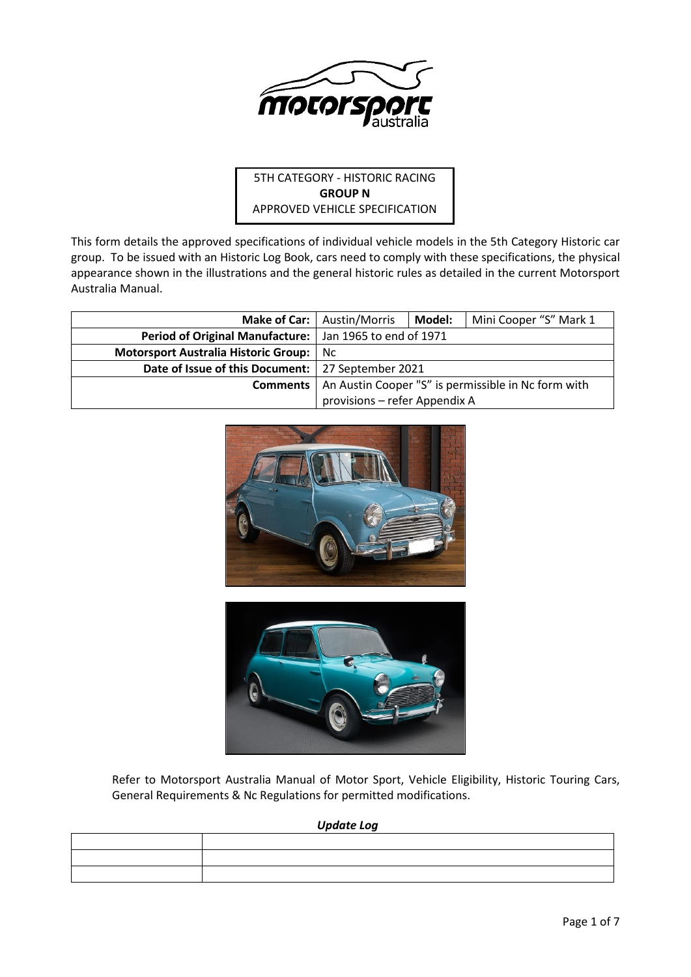

# 5TH CATEGORY - HISTORIC RACING **GROUP N** APPROVED VEHICLE SPECIFICATION

This form details the approved specifications of individual vehicle models in the 5th Category Historic car group. To be issued with an Historic Log Book, cars need to comply with these specifications, the physical appearance shown in the illustrations and the general historic rules as detailed in the current Motorsport Australia Manual.

|                                                           | Make of Car:   Austin/Morris                                          | Model: | Mini Cooper "S" Mark 1 |
|-----------------------------------------------------------|-----------------------------------------------------------------------|--------|------------------------|
| Period of Original Manufacture:   Jan 1965 to end of 1971 |                                                                       |        |                        |
| Motorsport Australia Historic Group:                      | Nc.                                                                   |        |                        |
| Date of Issue of this Document:   27 September 2021       |                                                                       |        |                        |
|                                                           | <b>Comments</b>   An Austin Cooper "S" is permissible in Nc form with |        |                        |
|                                                           | provisions – refer Appendix A                                         |        |                        |





Refer to Motorsport Australia Manual of Motor Sport, Vehicle Eligibility, Historic Touring Cars, General Requirements & Nc Regulations for permitted modifications.

*Update Log*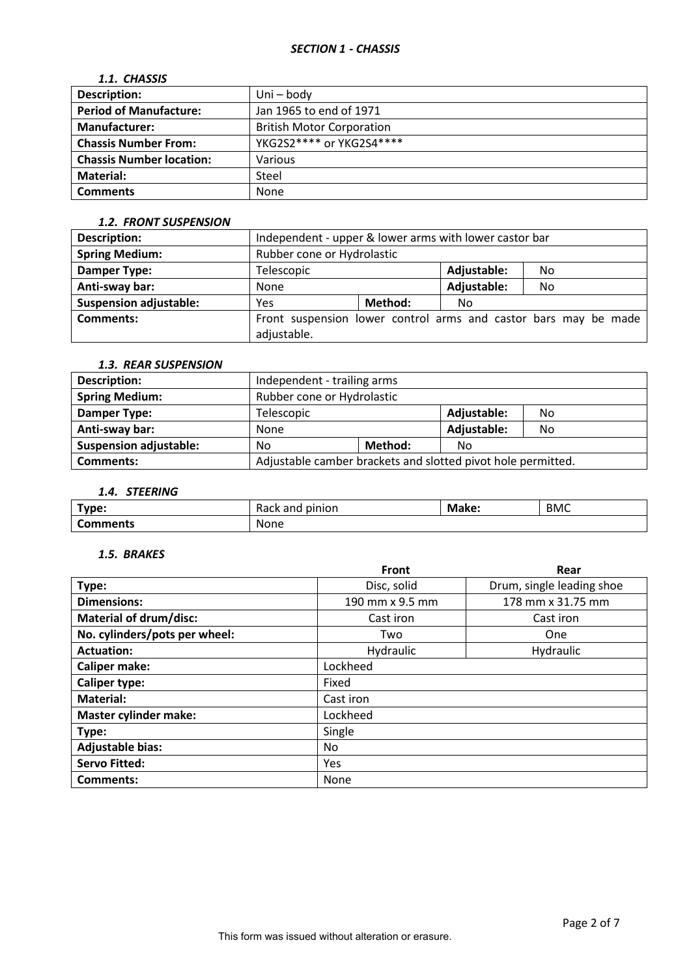# *1.1. CHASSIS*

| <b>Description:</b>             | Uni – body                       |
|---------------------------------|----------------------------------|
| <b>Period of Manufacture:</b>   | Jan 1965 to end of 1971          |
| <b>Manufacturer:</b>            | <b>British Motor Corporation</b> |
| <b>Chassis Number From:</b>     | YKG2S2**** or YKG2S4****         |
| <b>Chassis Number location:</b> | Various                          |
| Material:                       | Steel                            |
| <b>Comments</b>                 | None                             |

#### *1.2. FRONT SUSPENSION*

| <b>Description:</b>           | Independent - upper & lower arms with lower castor bar |         |             |                                                                 |
|-------------------------------|--------------------------------------------------------|---------|-------------|-----------------------------------------------------------------|
| <b>Spring Medium:</b>         | Rubber cone or Hydrolastic                             |         |             |                                                                 |
| <b>Damper Type:</b>           | Telescopic                                             |         | Adjustable: | No.                                                             |
| Anti-sway bar:                | None                                                   |         | Adjustable: | No                                                              |
| <b>Suspension adjustable:</b> | Yes                                                    | Method: | No          |                                                                 |
| Comments:                     |                                                        |         |             | Front suspension lower control arms and castor bars may be made |
|                               | adjustable.                                            |         |             |                                                                 |

### *1.3. REAR SUSPENSION*

| <b>Description:</b>           | Independent - trailing arms                                  |         |             |    |
|-------------------------------|--------------------------------------------------------------|---------|-------------|----|
| <b>Spring Medium:</b>         | Rubber cone or Hydrolastic                                   |         |             |    |
| Damper Type:                  | Adjustable:<br>Telescopic<br>No                              |         |             |    |
| Anti-sway bar:                | None                                                         |         | Adjustable: | No |
| <b>Suspension adjustable:</b> | No                                                           | Method: | No          |    |
| <b>Comments:</b>              | Adjustable camber brackets and slotted pivot hole permitted. |         |             |    |

# *1.4. STEERING*

| Type:    | pinion<br>$\sim$ $\sim$<br>anu<br>nacn | Make: | <b>BMC</b> |
|----------|----------------------------------------|-------|------------|
| Comments | None                                   |       |            |

## *1.5. BRAKES*

|                               | <b>Front</b>    | Rear                      |  |  |  |
|-------------------------------|-----------------|---------------------------|--|--|--|
| Type:                         | Disc, solid     | Drum, single leading shoe |  |  |  |
| <b>Dimensions:</b>            | 190 mm x 9.5 mm | 178 mm x 31.75 mm         |  |  |  |
| <b>Material of drum/disc:</b> | Cast iron       | Cast iron                 |  |  |  |
| No. cylinders/pots per wheel: | Two             | <b>One</b>                |  |  |  |
| <b>Actuation:</b>             | Hydraulic       | Hydraulic                 |  |  |  |
| <b>Caliper make:</b>          | Lockheed        |                           |  |  |  |
| <b>Caliper type:</b>          | Fixed           |                           |  |  |  |
| <b>Material:</b>              | Cast iron       |                           |  |  |  |
| <b>Master cylinder make:</b>  | Lockheed        |                           |  |  |  |
| Type:                         | Single          |                           |  |  |  |
| <b>Adjustable bias:</b>       | No.             |                           |  |  |  |
| <b>Servo Fitted:</b>          | Yes             |                           |  |  |  |
| Comments:                     | None            |                           |  |  |  |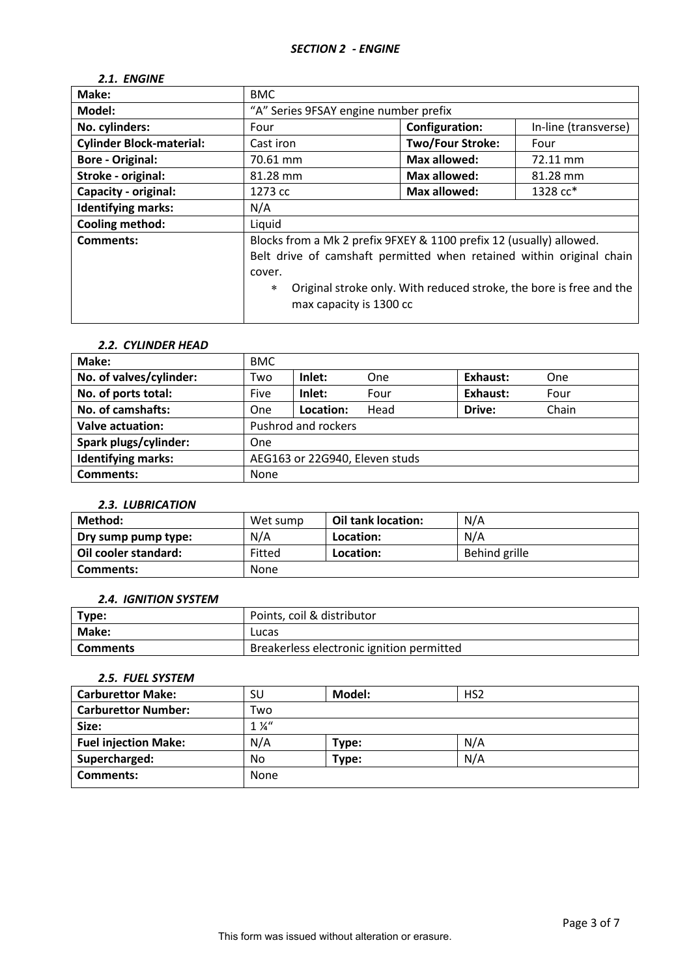## *2.1. ENGINE*

| Make:                           | <b>BMC</b>                                                                                                                                                                                 |                         |                                                                     |
|---------------------------------|--------------------------------------------------------------------------------------------------------------------------------------------------------------------------------------------|-------------------------|---------------------------------------------------------------------|
| Model:                          | "A" Series 9FSAY engine number prefix                                                                                                                                                      |                         |                                                                     |
| No. cylinders:                  | Four                                                                                                                                                                                       | <b>Configuration:</b>   | In-line (transverse)                                                |
| <b>Cylinder Block-material:</b> | Cast iron                                                                                                                                                                                  | <b>Two/Four Stroke:</b> | Four                                                                |
| <b>Bore - Original:</b>         | 70.61 mm                                                                                                                                                                                   | <b>Max allowed:</b>     | 72.11 mm                                                            |
| Stroke - original:              | 81.28 mm                                                                                                                                                                                   | <b>Max allowed:</b>     | 81.28 mm                                                            |
| <b>Capacity - original:</b>     | 1273 cc                                                                                                                                                                                    | <b>Max allowed:</b>     | 1328 cc*                                                            |
| <b>Identifying marks:</b>       | N/A                                                                                                                                                                                        |                         |                                                                     |
| <b>Cooling method:</b>          | Liquid                                                                                                                                                                                     |                         |                                                                     |
| <b>Comments:</b>                | Blocks from a Mk 2 prefix 9FXEY & 1100 prefix 12 (usually) allowed.<br>Belt drive of camshaft permitted when retained within original chain<br>cover.<br>$\ast$<br>max capacity is 1300 cc |                         | Original stroke only. With reduced stroke, the bore is free and the |

## *2.2. CYLINDER HEAD*

| Make:                     | <b>BMC</b>                     |           |      |          |       |
|---------------------------|--------------------------------|-----------|------|----------|-------|
| No. of valves/cylinder:   | Two                            | Inlet:    | One  | Exhaust: | One   |
| No. of ports total:       | Five                           | Inlet:    | Four | Exhaust: | Four  |
| No. of camshafts:         | One                            | Location: | Head | Drive:   | Chain |
| <b>Valve actuation:</b>   | Pushrod and rockers            |           |      |          |       |
| Spark plugs/cylinder:     | One                            |           |      |          |       |
| <b>Identifying marks:</b> | AEG163 or 22G940, Eleven studs |           |      |          |       |
| <b>Comments:</b>          | None                           |           |      |          |       |

# *2.3. LUBRICATION*

| Method:              | Wet sump | Oil tank location: | N/A           |
|----------------------|----------|--------------------|---------------|
| Dry sump pump type:  | N/A      | Location:          | N/A           |
| Oil cooler standard: | Fitted   | Location:          | Behind grille |
| Comments:            | None     |                    |               |

### *2.4. IGNITION SYSTEM*

| Type:           | Points, coil & distributor                |
|-----------------|-------------------------------------------|
| Make:           | Lucas                                     |
| <b>Comments</b> | Breakerless electronic ignition permitted |

## *2.5. FUEL SYSTEM*

| <b>Carburettor Make:</b>    | SU             | Model: | HS <sub>2</sub> |
|-----------------------------|----------------|--------|-----------------|
| <b>Carburettor Number:</b>  | Two            |        |                 |
| Size:                       | $1\frac{1}{4}$ |        |                 |
| <b>Fuel injection Make:</b> | N/A            | Type:  | N/A             |
| Supercharged:               | No             | Type:  | N/A             |
| <b>Comments:</b>            | None           |        |                 |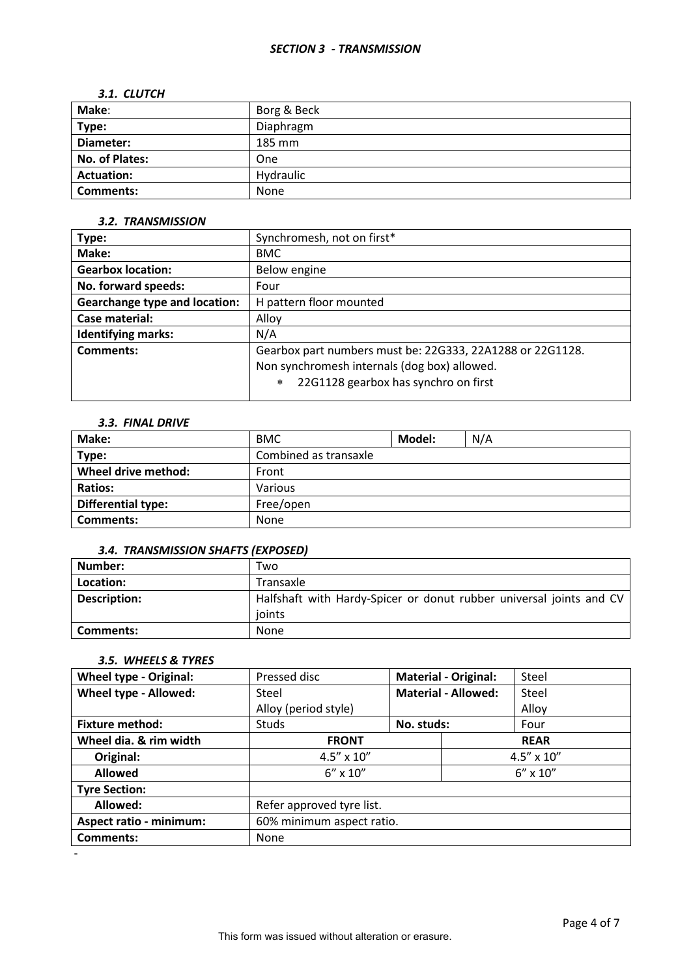### *3.1. CLUTCH*

| Make:             | Borg & Beck |
|-------------------|-------------|
| Type:             | Diaphragm   |
| Diameter:         | 185 mm      |
| No. of Plates:    | One         |
| <b>Actuation:</b> | Hydraulic   |
| <b>Comments:</b>  | None        |

## *3.2. TRANSMISSION*

| Type:                                | Synchromesh, not on first*                                |  |  |
|--------------------------------------|-----------------------------------------------------------|--|--|
| Make:                                | <b>BMC</b>                                                |  |  |
| <b>Gearbox location:</b>             | Below engine                                              |  |  |
| No. forward speeds:                  | Four                                                      |  |  |
| <b>Gearchange type and location:</b> | H pattern floor mounted                                   |  |  |
| Case material:                       | Alloy                                                     |  |  |
| <b>Identifying marks:</b>            | N/A                                                       |  |  |
| Comments:                            | Gearbox part numbers must be: 22G333, 22A1288 or 22G1128. |  |  |
|                                      | Non synchromesh internals (dog box) allowed.              |  |  |
|                                      | 22G1128 gearbox has synchro on first<br>$\ast$            |  |  |

#### *3.3. FINAL DRIVE*

| Make:                     | <b>BMC</b>            | Model: | N/A |
|---------------------------|-----------------------|--------|-----|
| Type:                     | Combined as transaxle |        |     |
| Wheel drive method:       | Front                 |        |     |
| <b>Ratios:</b>            | Various               |        |     |
| <b>Differential type:</b> | Free/open             |        |     |
| Comments:                 | None                  |        |     |

## *3.4. TRANSMISSION SHAFTS (EXPOSED)*

| Number:             | Two                                                                 |
|---------------------|---------------------------------------------------------------------|
| Location:           | Transaxle                                                           |
| <b>Description:</b> | Halfshaft with Hardy-Spicer or donut rubber universal joints and CV |
|                     | ioints                                                              |
| Comments:           | None                                                                |

# *3.5. WHEELS & TYRES*

-

| <b>Wheel type - Original:</b>  | Pressed disc              |                            | <b>Material - Original:</b> | Steel               |
|--------------------------------|---------------------------|----------------------------|-----------------------------|---------------------|
| Wheel type - Allowed:          | Steel                     | <b>Material - Allowed:</b> |                             | Steel               |
|                                | Alloy (period style)      |                            |                             | Alloy               |
| <b>Fixture method:</b>         | <b>Studs</b>              | No. studs:                 |                             | Four                |
| Wheel dia. & rim width         | <b>FRONT</b>              | <b>REAR</b>                |                             |                     |
| Original:                      | $4.5'' \times 10''$       |                            |                             | $4.5'' \times 10''$ |
| <b>Allowed</b>                 | $6'' \times 10''$         |                            | $6'' \times 10''$           |                     |
| <b>Tyre Section:</b>           |                           |                            |                             |                     |
| Allowed:                       | Refer approved tyre list. |                            |                             |                     |
| <b>Aspect ratio - minimum:</b> | 60% minimum aspect ratio. |                            |                             |                     |
| Comments:                      | None                      |                            |                             |                     |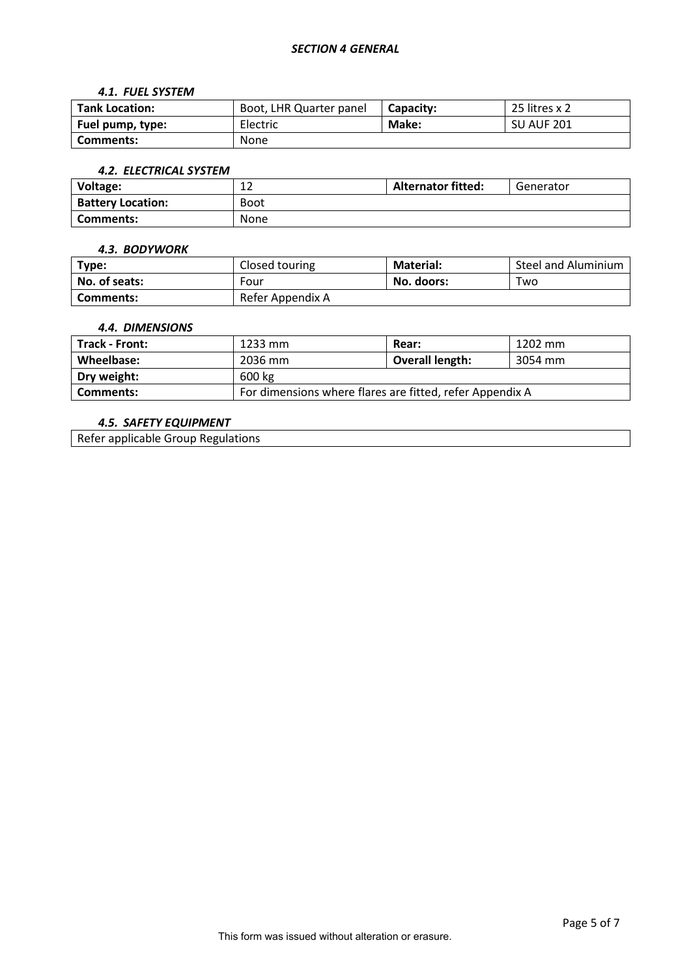## *SECTION 4 GENERAL*

#### *4.1. FUEL SYSTEM*

| <b>Tank Location:</b> | Boot, LHR Quarter panel | Capacity: | 25 litres x 2     |
|-----------------------|-------------------------|-----------|-------------------|
| Fuel pump, type:      | Electric                | Make:     | <b>SU AUF 201</b> |
| Comments:             | None                    |           |                   |

#### *4.2. ELECTRICAL SYSTEM*

| Voltage:                 | ᅩᄼ          | <b>Alternator fitted:</b> | Generator |
|--------------------------|-------------|---------------------------|-----------|
| <b>Battery Location:</b> | <b>Boot</b> |                           |           |
| Comments:                | None        |                           |           |

#### *4.3. BODYWORK*

| Type:         | Closed touring   | <b>Material:</b> | Steel and Aluminium |
|---------------|------------------|------------------|---------------------|
| No. of seats: | Four             | No. doors:       | Two                 |
| Comments:     | Refer Appendix A |                  |                     |

#### *4.4. DIMENSIONS*

| <b>Track - Front:</b> | 1233 mm                                                  | Rear:                  | 1202 mm |  |
|-----------------------|----------------------------------------------------------|------------------------|---------|--|
| Wheelbase:            | 2036 mm                                                  | <b>Overall length:</b> | 3054 mm |  |
| Dry weight:           | 600 kg                                                   |                        |         |  |
| Comments:             | For dimensions where flares are fitted, refer Appendix A |                        |         |  |

# *4.5. SAFETY EQUIPMENT*

Refer applicable Group Regulations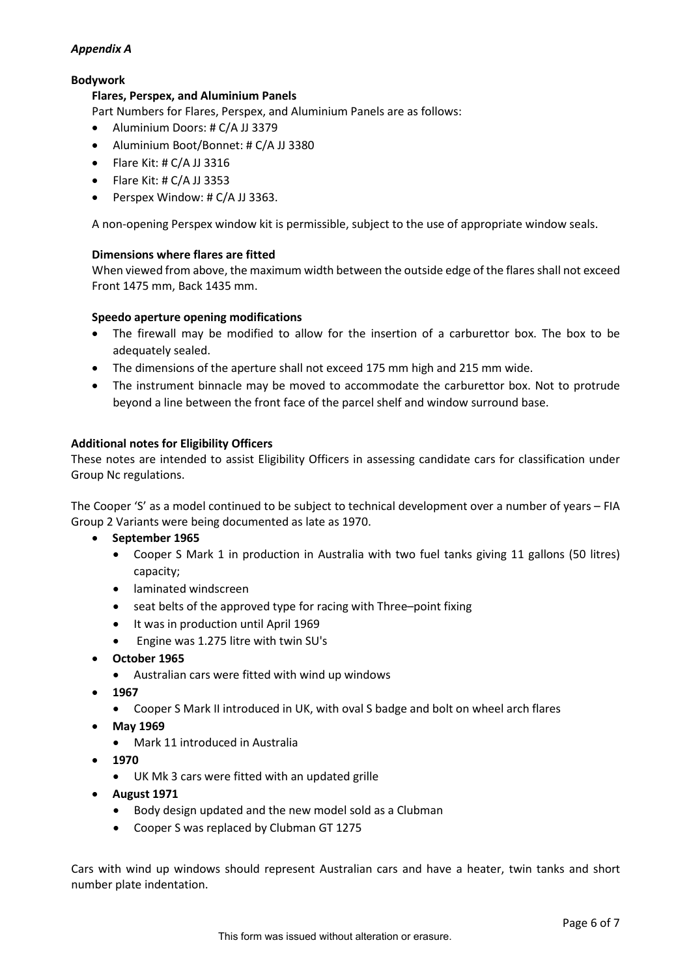# *Appendix A*

# **Bodywork**

## **Flares, Perspex, and Aluminium Panels**

Part Numbers for Flares, Perspex, and Aluminium Panels are as follows:

- Aluminium Doors: # C/A JJ 3379
- Aluminium Boot/Bonnet: # C/A JJ 3380
- Flare Kit: # C/A JJ 3316
- $\bullet$  Flare Kit: # C/A JJ 3353
- Perspex Window: # C/A JJ 3363.

A non-opening Perspex window kit is permissible, subject to the use of appropriate window seals.

### **Dimensions where flares are fitted**

When viewed from above, the maximum width between the outside edge of the flares shall not exceed Front 1475 mm, Back 1435 mm.

### **Speedo aperture opening modifications**

- The firewall may be modified to allow for the insertion of a carburettor box. The box to be adequately sealed.
- The dimensions of the aperture shall not exceed 175 mm high and 215 mm wide.
- The instrument binnacle may be moved to accommodate the carburettor box. Not to protrude beyond a line between the front face of the parcel shelf and window surround base.

## **Additional notes for Eligibility Officers**

These notes are intended to assist Eligibility Officers in assessing candidate cars for classification under Group Nc regulations.

The Cooper 'S' as a model continued to be subject to technical development over a number of years – FIA Group 2 Variants were being documented as late as 1970.

- **September 1965**
	- Cooper S Mark 1 in production in Australia with two fuel tanks giving 11 gallons (50 litres) capacity;
	- laminated windscreen
	- seat belts of the approved type for racing with Three–point fixing
	- It was in production until April 1969
	- Engine was 1.275 litre with twin SU's
- **October 1965**
	- Australian cars were fitted with wind up windows
- **1967**
	- Cooper S Mark II introduced in UK, with oval S badge and bolt on wheel arch flares
- **May 1969**
	- Mark 11 introduced in Australia
- **1970**
	- UK Mk 3 cars were fitted with an updated grille
- **August 1971**
	- Body design updated and the new model sold as a Clubman
	- Cooper S was replaced by Clubman GT 1275

Cars with wind up windows should represent Australian cars and have a heater, twin tanks and short number plate indentation.